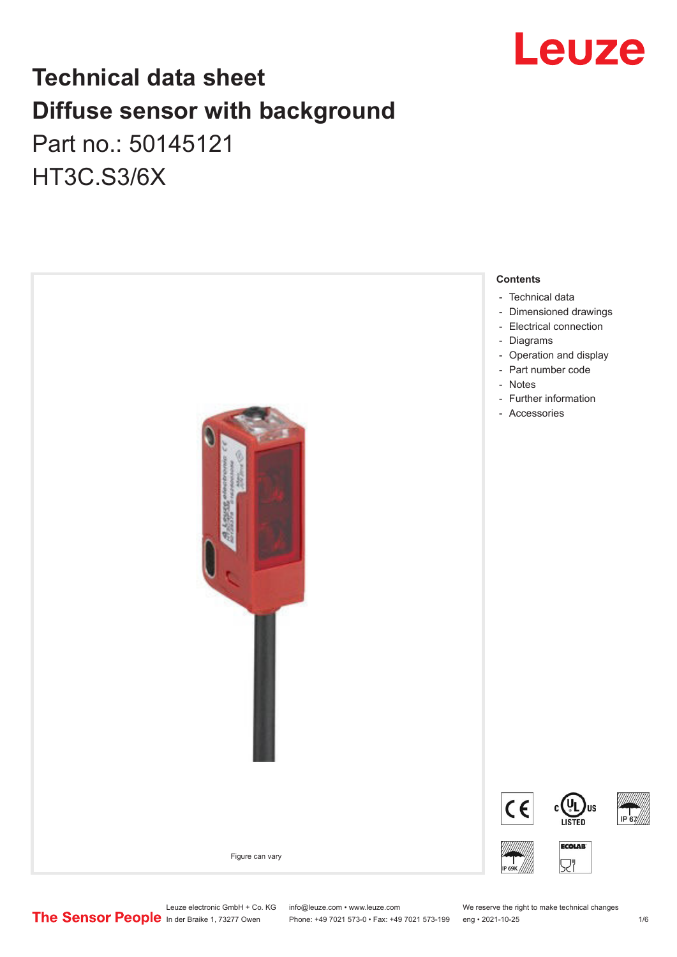

# **Technical data sheet Diffuse sensor with background**  Part no.: 50145121

HT3C.S3/6X

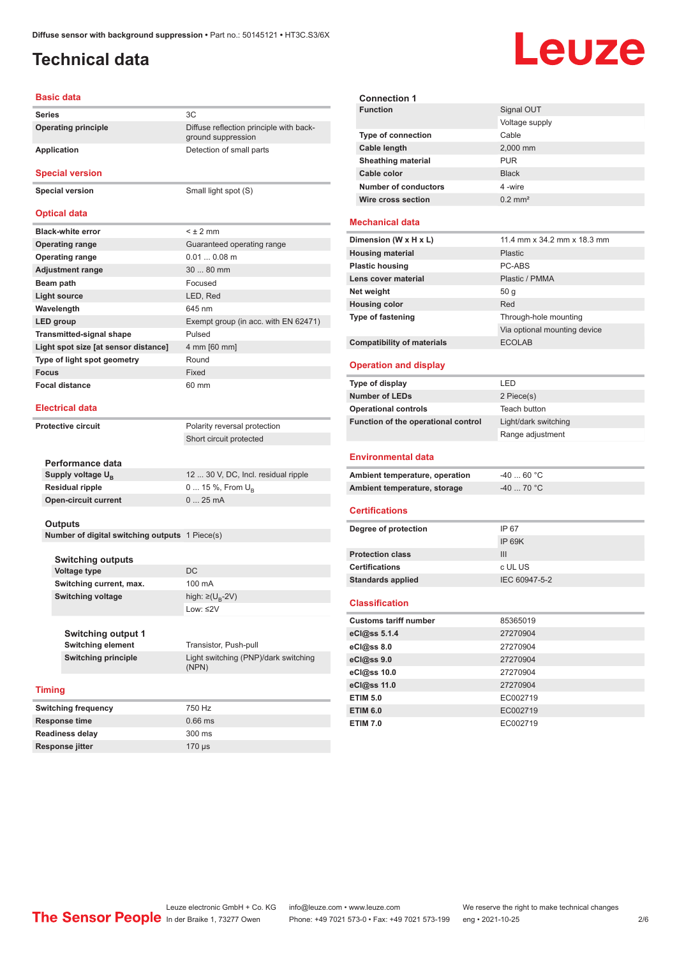ground suppression

## <span id="page-1-0"></span>**Technical data**

# Leuze

### **Basic data**

**Series** 3C **Operating principle** Diffuse reflection principle with back-

### **Application** Detection of small parts

**Special version**

**Special version** Small light spot (S)

### **Optical data**

| <b>Black-white error</b>             | $<$ $\pm$ 2 mm                       |
|--------------------------------------|--------------------------------------|
| <b>Operating range</b>               | Guaranteed operating range           |
| <b>Operating range</b>               | $0.010.08$ m                         |
| <b>Adjustment range</b>              | $3080$ mm                            |
| Beam path                            | Focused                              |
| <b>Light source</b>                  | LED, Red                             |
| Wavelength                           | 645 nm                               |
| LED group                            | Exempt group (in acc. with EN 62471) |
| <b>Transmitted-signal shape</b>      | Pulsed                               |
| Light spot size [at sensor distance] | 4 mm [60 mm]                         |
| Type of light spot geometry          | Round                                |
| <b>Focus</b>                         | Fixed                                |
| <b>Focal distance</b>                | 60 mm                                |

### **Electrical data**

**Protective circuit** Polarity reversal protection Short circuit protected

| Performance data              |                                     |
|-------------------------------|-------------------------------------|
| Supply voltage U <sub>p</sub> | 12  30 V, DC, Incl. residual ripple |
| <b>Residual ripple</b>        | 0  15 %, From $U_{\rm B}$           |
| Open-circuit current          | $025$ mA                            |
|                               |                                     |

### **Outputs**

**Number of digital switching outputs** 1 Piece(s)

| <b>Switching outputs</b> |                                   |
|--------------------------|-----------------------------------|
| <b>Voltage type</b>      | DC.                               |
| Switching current, max.  | 100 mA                            |
| <b>Switching voltage</b> | high: $\geq$ (U <sub>B</sub> -2V) |
|                          | Low: $\leq$ 2V                    |

| Switching output 1  |                                               |
|---------------------|-----------------------------------------------|
| Switching element   | Transistor, Push-pull                         |
| Switching principle | Light switching (PNP)/dark switching<br>(NPN) |

### **Timing**

| <b>Switching frequency</b> | 750 Hz    |
|----------------------------|-----------|
| Response time              | $0.66$ ms |
| <b>Readiness delay</b>     | 300 ms    |
| Response jitter            | $170$ us  |

| <b>Connection 1</b>         |                       |
|-----------------------------|-----------------------|
| <b>Function</b>             | Signal OUT            |
|                             | Voltage supply        |
| <b>Type of connection</b>   | Cable                 |
| Cable length                | 2,000 mm              |
| <b>Sheathing material</b>   | <b>PUR</b>            |
| Cable color                 | <b>Black</b>          |
| <b>Number of conductors</b> | 4-wire                |
| Wire cross section          | $0.2$ mm <sup>2</sup> |
|                             |                       |

### **Mechanical data**

| Dimension (W x H x L)             | 11.4 mm x 34.2 mm x 18.3 mm  |
|-----------------------------------|------------------------------|
| <b>Housing material</b>           | <b>Plastic</b>               |
| <b>Plastic housing</b>            | PC-ABS                       |
| Lens cover material               | Plastic / PMMA               |
| Net weight                        | 50q                          |
| <b>Housing color</b>              | Red                          |
| <b>Type of fastening</b>          | Through-hole mounting        |
|                                   | Via optional mounting device |
| <b>Compatibility of materials</b> | <b>ECOLAB</b>                |

### **Operation and display**

| Type of display                     | LED                  |  |
|-------------------------------------|----------------------|--|
| <b>Number of LEDs</b>               | 2 Piece(s)           |  |
| <b>Operational controls</b>         | Teach button         |  |
| Function of the operational control | Light/dark switching |  |
|                                     | Range adjustment     |  |
|                                     |                      |  |
| <b>Environmental data</b>           |                      |  |
| Ambient temperature, operation      | $-4060 °C$           |  |
| Ambient temperature, storage        | $-40$ 70 °C          |  |
|                                     |                      |  |
| <b>Certifications</b>               |                      |  |
| Degree of protection                | IP 67                |  |
|                                     | IP 69K               |  |
| <b>Protection class</b>             | III                  |  |
| <b>Certifications</b>               | c UL US              |  |
| <b>Standards applied</b>            | IEC 60947-5-2        |  |

### **Classification**

| <b>Customs tariff number</b> | 85365019 |
|------------------------------|----------|
| eCl@ss 5.1.4                 | 27270904 |
| eCl@ss 8.0                   | 27270904 |
| eCl@ss 9.0                   | 27270904 |
| eCl@ss 10.0                  | 27270904 |
| eCl@ss 11.0                  | 27270904 |
| <b>ETIM 5.0</b>              | EC002719 |
| <b>ETIM 6.0</b>              | EC002719 |
| <b>ETIM 7.0</b>              | EC002719 |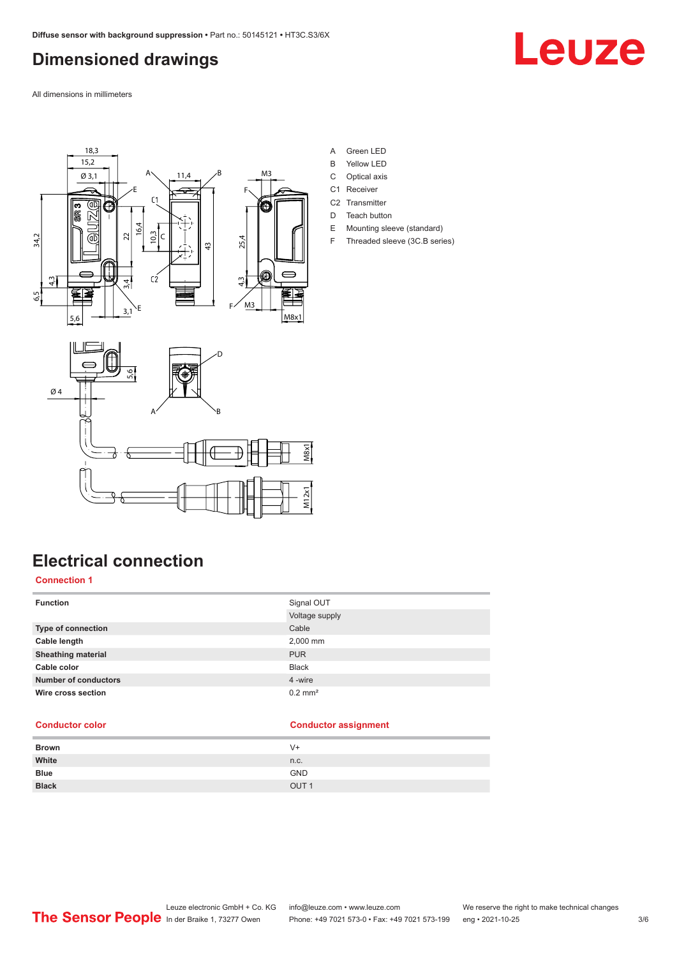## <span id="page-2-0"></span>**Dimensioned drawings**

Leuze

All dimensions in millimeters





- A Green LED
- B Yellow LED
- C Optical axis
- C1 Receiver
- C<sub>2</sub> Transmitter
- D Teach button
- E Mounting sleeve (standard)
- F Threaded sleeve (3C.B series)

## **Electrical connection**

### **Connection 1**

| <b>Function</b>             | Signal OUT            |
|-----------------------------|-----------------------|
|                             | Voltage supply        |
| Type of connection          | Cable                 |
| Cable length                | 2,000 mm              |
| <b>Sheathing material</b>   | <b>PUR</b>            |
| Cable color                 | <b>Black</b>          |
| <b>Number of conductors</b> | 4 -wire               |
| Wire cross section          | $0.2$ mm <sup>2</sup> |

### **Conductor color Conductor assignment**

| <b>Brown</b> | $V +$            |
|--------------|------------------|
| White        | n.c.             |
| <b>Blue</b>  | <b>GND</b>       |
| <b>Black</b> | OUT <sub>1</sub> |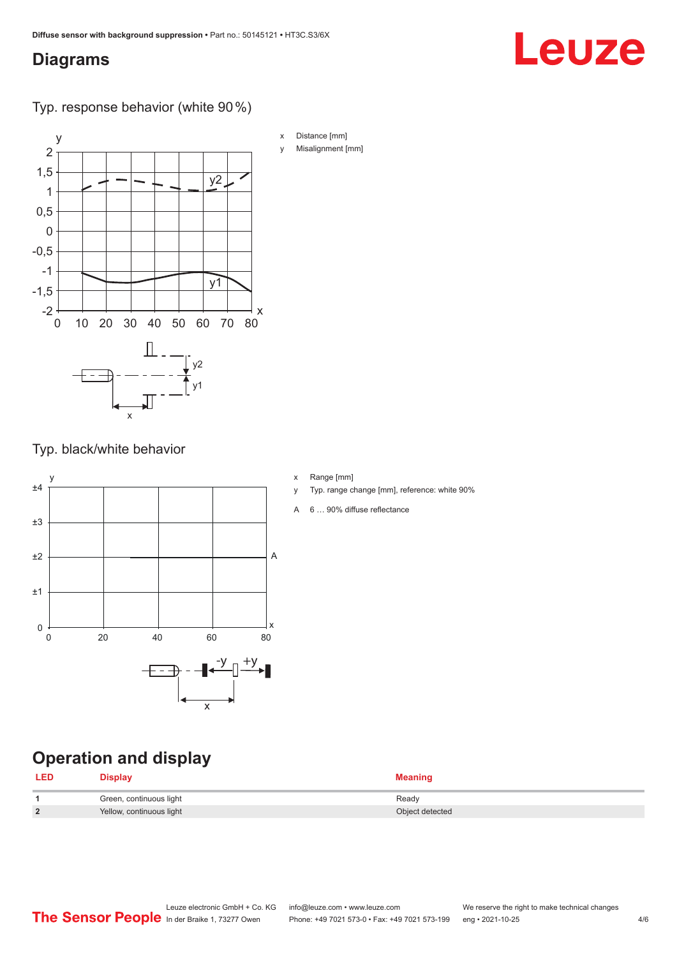## <span id="page-3-0"></span>**Diagrams**

# Leuze

Typ. response behavior (white 90 %)



Typ. black/white behavior



- x Range [mm]
- y Typ. range change [mm], reference: white 90%
- A 6 … 90% diffuse reflectance

## **Operation and display**

| <b>LED</b> | <b>Display</b>           | <b>Meaning</b>  |
|------------|--------------------------|-----------------|
|            | Green, continuous light  | Ready           |
| 2          | Yellow, continuous light | Object detected |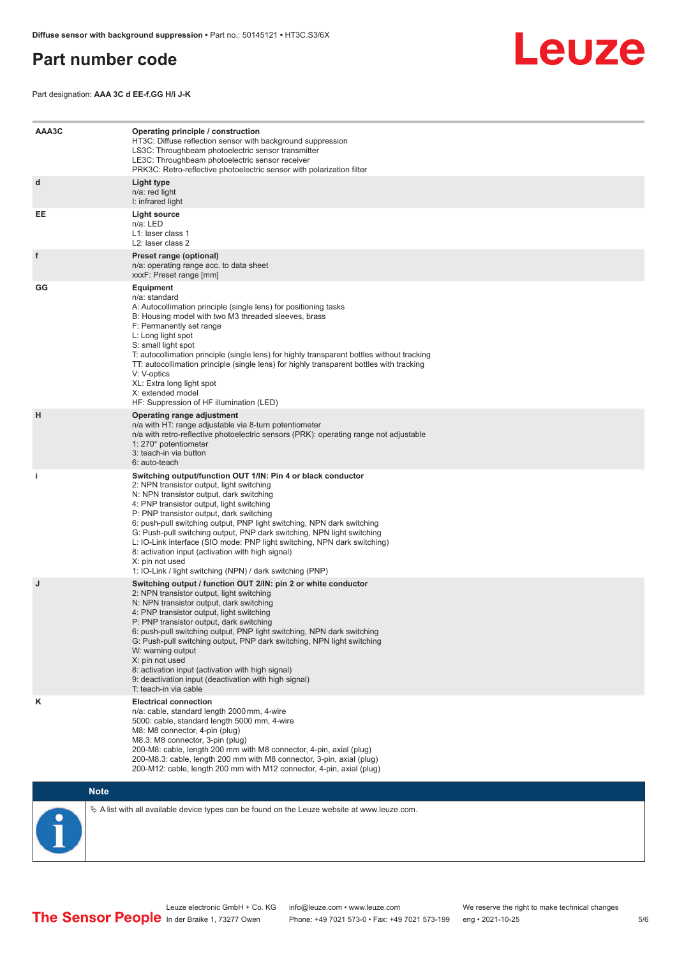## <span id="page-4-0"></span>**Part number code**



Part designation: **AAA 3C d EE-f.GG H/i J-K**

| AAA3C | Operating principle / construction<br>HT3C: Diffuse reflection sensor with background suppression<br>LS3C: Throughbeam photoelectric sensor transmitter<br>LE3C: Throughbeam photoelectric sensor receiver<br>PRK3C: Retro-reflective photoelectric sensor with polarization filter                                                                                                                                                                                                                                                                                                                                 |
|-------|---------------------------------------------------------------------------------------------------------------------------------------------------------------------------------------------------------------------------------------------------------------------------------------------------------------------------------------------------------------------------------------------------------------------------------------------------------------------------------------------------------------------------------------------------------------------------------------------------------------------|
| d     | Light type<br>n/a: red light<br>I: infrared light                                                                                                                                                                                                                                                                                                                                                                                                                                                                                                                                                                   |
| EE    | Light source<br>n/a: LED<br>L1: laser class 1<br>L2: laser class 2                                                                                                                                                                                                                                                                                                                                                                                                                                                                                                                                                  |
| f     | Preset range (optional)<br>n/a: operating range acc. to data sheet<br>xxxF: Preset range [mm]                                                                                                                                                                                                                                                                                                                                                                                                                                                                                                                       |
| GG    | <b>Equipment</b><br>n/a: standard<br>A: Autocollimation principle (single lens) for positioning tasks<br>B: Housing model with two M3 threaded sleeves, brass<br>F: Permanently set range<br>L: Long light spot<br>S: small light spot<br>T: autocollimation principle (single lens) for highly transparent bottles without tracking<br>TT: autocollimation principle (single lens) for highly transparent bottles with tracking<br>V: V-optics<br>XL: Extra long light spot<br>X: extended model<br>HF: Suppression of HF illumination (LED)                                                                       |
| н     | Operating range adjustment<br>n/a with HT: range adjustable via 8-turn potentiometer<br>n/a with retro-reflective photoelectric sensors (PRK): operating range not adjustable<br>1: 270° potentiometer<br>3: teach-in via button<br>6: auto-teach                                                                                                                                                                                                                                                                                                                                                                   |
| i.    | Switching output/function OUT 1/IN: Pin 4 or black conductor<br>2: NPN transistor output, light switching<br>N: NPN transistor output, dark switching<br>4: PNP transistor output, light switching<br>P: PNP transistor output, dark switching<br>6: push-pull switching output, PNP light switching, NPN dark switching<br>G: Push-pull switching output, PNP dark switching, NPN light switching<br>L: IO-Link interface (SIO mode: PNP light switching, NPN dark switching)<br>8: activation input (activation with high signal)<br>X: pin not used<br>1: IO-Link / light switching (NPN) / dark switching (PNP) |
| J     | Switching output / function OUT 2/IN: pin 2 or white conductor<br>2: NPN transistor output, light switching<br>N: NPN transistor output, dark switching<br>4: PNP transistor output, light switching<br>P: PNP transistor output, dark switching<br>6: push-pull switching output, PNP light switching, NPN dark switching<br>G: Push-pull switching output, PNP dark switching, NPN light switching<br>W: warning output<br>X: pin not used<br>8: activation input (activation with high signal)<br>9: deactivation input (deactivation with high signal)<br>T: teach-in via cable                                 |
| κ     | <b>Electrical connection</b><br>n/a: cable, standard length 2000 mm, 4-wire<br>5000: cable, standard length 5000 mm, 4-wire<br>M8: M8 connector, 4-pin (plug)<br>M8.3: M8 connector, 3-pin (plug)<br>200-M8: cable, length 200 mm with M8 connector, 4-pin, axial (plug)<br>200-M8.3: cable, length 200 mm with M8 connector, 3-pin, axial (plug)<br>200-M12: cable, length 200 mm with M12 connector, 4-pin, axial (plug)                                                                                                                                                                                          |

## **Note**

 $\%$  A list with all available device types can be found on the Leuze website at www.leuze.com.